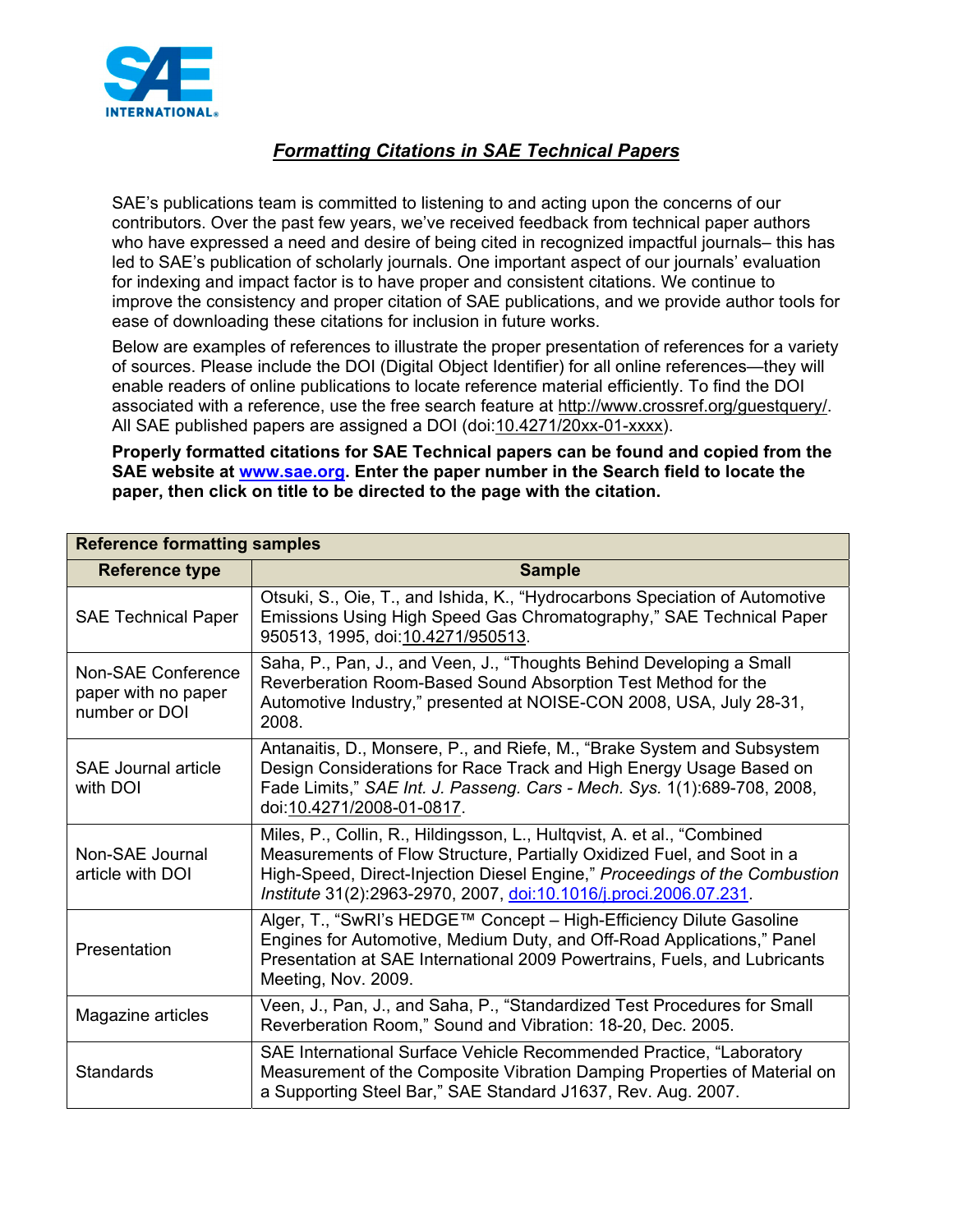

## *Formatting Citations in SAE Technical Papers*

SAE's publications team is committed to listening to and acting upon the concerns of our contributors. Over the past few years, we've received feedback from technical paper authors who have expressed a need and desire of being cited in recognized impactful journals– this has led to SAE's publication of scholarly journals. One important aspect of our journals' evaluation for indexing and impact factor is to have proper and consistent citations. We continue to improve the consistency and proper citation of SAE publications, and we provide author tools for ease of downloading these citations for inclusion in future works.

Below are examples of references to illustrate the proper presentation of references for a variety of sources. Please include the DOI (Digital Object Identifier) for all online references—they will enable readers of online publications to locate reference material efficiently. To find the DOI associated with a reference, use the free search feature at http://www.crossref.org/guestquery/. All SAE published papers are assigned a DOI (doi:10.4271/20xx-01-xxxx).

**Properly formatted citations for SAE Technical papers can be found and copied from the SAE website at www.sae.org. Enter the paper number in the Search field to locate the paper, then click on title to be directed to the page with the citation.** 

| <b>Reference formatting samples</b>                        |                                                                                                                                                                                                                                                                                                      |  |
|------------------------------------------------------------|------------------------------------------------------------------------------------------------------------------------------------------------------------------------------------------------------------------------------------------------------------------------------------------------------|--|
| <b>Reference type</b>                                      | <b>Sample</b>                                                                                                                                                                                                                                                                                        |  |
| <b>SAE Technical Paper</b>                                 | Otsuki, S., Oie, T., and Ishida, K., "Hydrocarbons Speciation of Automotive<br>Emissions Using High Speed Gas Chromatography," SAE Technical Paper<br>950513, 1995, doi:10.4271/950513.                                                                                                              |  |
| Non-SAE Conference<br>paper with no paper<br>number or DOI | Saha, P., Pan, J., and Veen, J., "Thoughts Behind Developing a Small<br>Reverberation Room-Based Sound Absorption Test Method for the<br>Automotive Industry," presented at NOISE-CON 2008, USA, July 28-31,<br>2008.                                                                                |  |
| <b>SAE Journal article</b><br>with DOI                     | Antanaitis, D., Monsere, P., and Riefe, M., "Brake System and Subsystem<br>Design Considerations for Race Track and High Energy Usage Based on<br>Fade Limits," SAE Int. J. Passeng. Cars - Mech. Sys. 1(1):689-708, 2008,<br>doi:10.4271/2008-01-0817.                                              |  |
| Non-SAE Journal<br>article with DOI                        | Miles, P., Collin, R., Hildingsson, L., Hultqvist, A. et al., "Combined<br>Measurements of Flow Structure, Partially Oxidized Fuel, and Soot in a<br>High-Speed, Direct-Injection Diesel Engine," Proceedings of the Combustion<br>Institute 31(2):2963-2970, 2007, doi:10.1016/j.proci.2006.07.231. |  |
| Presentation                                               | Alger, T., "SwRI's HEDGE™ Concept - High-Efficiency Dilute Gasoline<br>Engines for Automotive, Medium Duty, and Off-Road Applications," Panel<br>Presentation at SAE International 2009 Powertrains, Fuels, and Lubricants<br>Meeting, Nov. 2009.                                                    |  |
| Magazine articles                                          | Veen, J., Pan, J., and Saha, P., "Standardized Test Procedures for Small<br>Reverberation Room," Sound and Vibration: 18-20, Dec. 2005.                                                                                                                                                              |  |
| <b>Standards</b>                                           | SAE International Surface Vehicle Recommended Practice, "Laboratory<br>Measurement of the Composite Vibration Damping Properties of Material on<br>a Supporting Steel Bar," SAE Standard J1637, Rev. Aug. 2007.                                                                                      |  |